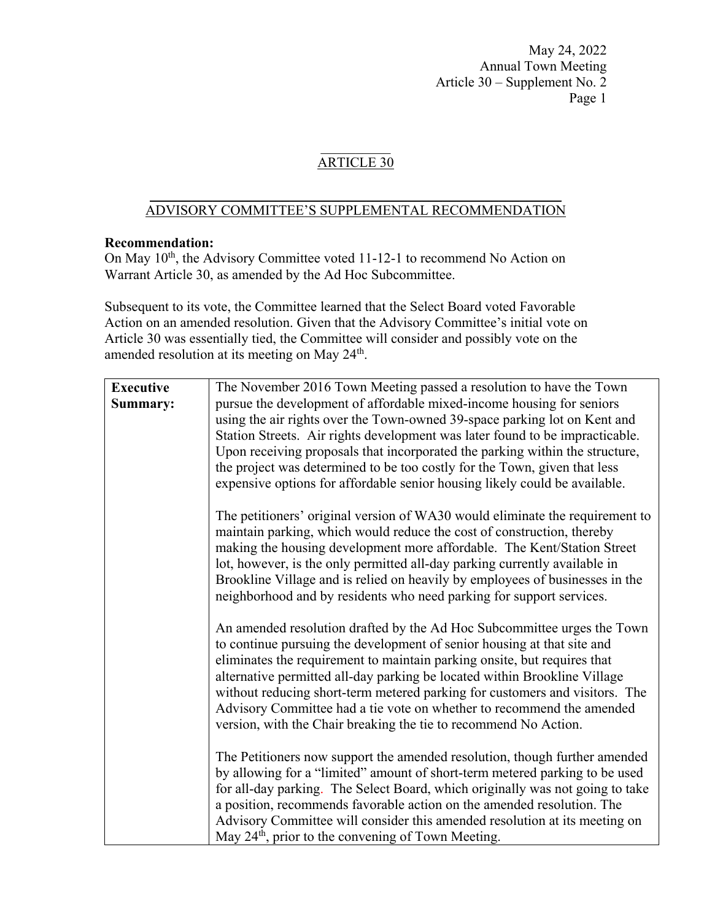# ARTICLE 30

#### $\frac{1}{2}$  ,  $\frac{1}{2}$  ,  $\frac{1}{2}$  ,  $\frac{1}{2}$  ,  $\frac{1}{2}$  ,  $\frac{1}{2}$  ,  $\frac{1}{2}$  ,  $\frac{1}{2}$  ,  $\frac{1}{2}$  ,  $\frac{1}{2}$  ,  $\frac{1}{2}$  ,  $\frac{1}{2}$  ,  $\frac{1}{2}$  ,  $\frac{1}{2}$  ,  $\frac{1}{2}$  ,  $\frac{1}{2}$  ,  $\frac{1}{2}$  ,  $\frac{1}{2}$  ,  $\frac{1$ ADVISORY COMMITTEE'S SUPPLEMENTAL RECOMMENDATION

#### **Recommendation:**

On May 10<sup>th</sup>, the Advisory Committee voted 11-12-1 to recommend No Action on Warrant Article 30, as amended by the Ad Hoc Subcommittee.

Subsequent to its vote, the Committee learned that the Select Board voted Favorable Action on an amended resolution. Given that the Advisory Committee's initial vote on Article 30 was essentially tied, the Committee will consider and possibly vote on the amended resolution at its meeting on May 24<sup>th</sup>.

| <b>Executive</b><br>Summary: | The November 2016 Town Meeting passed a resolution to have the Town<br>pursue the development of affordable mixed-income housing for seniors<br>using the air rights over the Town-owned 39-space parking lot on Kent and<br>Station Streets. Air rights development was later found to be impracticable.<br>Upon receiving proposals that incorporated the parking within the structure,<br>the project was determined to be too costly for the Town, given that less<br>expensive options for affordable senior housing likely could be available. |
|------------------------------|------------------------------------------------------------------------------------------------------------------------------------------------------------------------------------------------------------------------------------------------------------------------------------------------------------------------------------------------------------------------------------------------------------------------------------------------------------------------------------------------------------------------------------------------------|
|                              | The petitioners' original version of WA30 would eliminate the requirement to<br>maintain parking, which would reduce the cost of construction, thereby<br>making the housing development more affordable. The Kent/Station Street<br>lot, however, is the only permitted all-day parking currently available in<br>Brookline Village and is relied on heavily by employees of businesses in the<br>neighborhood and by residents who need parking for support services.                                                                              |
|                              | An amended resolution drafted by the Ad Hoc Subcommittee urges the Town<br>to continue pursuing the development of senior housing at that site and<br>eliminates the requirement to maintain parking onsite, but requires that<br>alternative permitted all-day parking be located within Brookline Village<br>without reducing short-term metered parking for customers and visitors. The<br>Advisory Committee had a tie vote on whether to recommend the amended<br>version, with the Chair breaking the tie to recommend No Action.              |
|                              | The Petitioners now support the amended resolution, though further amended<br>by allowing for a "limited" amount of short-term metered parking to be used<br>for all-day parking. The Select Board, which originally was not going to take<br>a position, recommends favorable action on the amended resolution. The<br>Advisory Committee will consider this amended resolution at its meeting on<br>May 24 <sup>th</sup> , prior to the convening of Town Meeting.                                                                                 |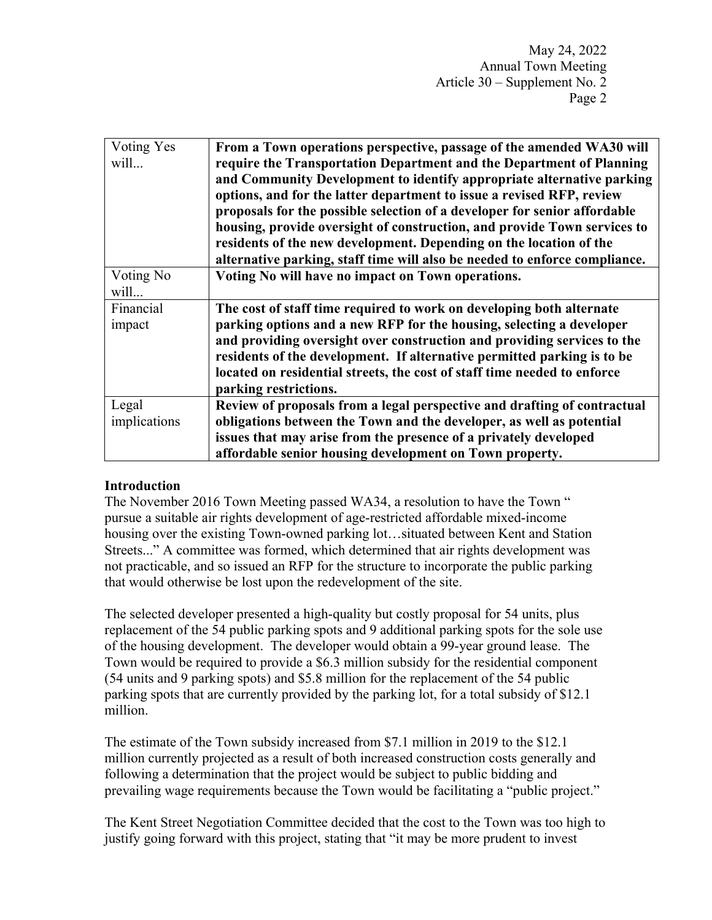| Voting Yes   | From a Town operations perspective, passage of the amended WA30 will       |
|--------------|----------------------------------------------------------------------------|
| will         | require the Transportation Department and the Department of Planning       |
|              | and Community Development to identify appropriate alternative parking      |
|              | options, and for the latter department to issue a revised RFP, review      |
|              | proposals for the possible selection of a developer for senior affordable  |
|              | housing, provide oversight of construction, and provide Town services to   |
|              | residents of the new development. Depending on the location of the         |
|              | alternative parking, staff time will also be needed to enforce compliance. |
| Voting No    | Voting No will have no impact on Town operations.                          |
| will         |                                                                            |
| Financial    | The cost of staff time required to work on developing both alternate       |
| impact       | parking options and a new RFP for the housing, selecting a developer       |
|              | and providing oversight over construction and providing services to the    |
|              | residents of the development. If alternative permitted parking is to be    |
|              | located on residential streets, the cost of staff time needed to enforce   |
|              | parking restrictions.                                                      |
| Legal        | Review of proposals from a legal perspective and drafting of contractual   |
| implications | obligations between the Town and the developer, as well as potential       |
|              | issues that may arise from the presence of a privately developed           |
|              | affordable senior housing development on Town property.                    |

### **Introduction**

The November 2016 Town Meeting passed WA34, a resolution to have the Town " pursue a suitable air rights development of age-restricted affordable mixed-income housing over the existing Town-owned parking lot…situated between Kent and Station Streets..." A committee was formed, which determined that air rights development was not practicable, and so issued an RFP for the structure to incorporate the public parking that would otherwise be lost upon the redevelopment of the site.

The selected developer presented a high-quality but costly proposal for 54 units, plus replacement of the 54 public parking spots and 9 additional parking spots for the sole use of the housing development. The developer would obtain a 99-year ground lease. The Town would be required to provide a \$6.3 million subsidy for the residential component (54 units and 9 parking spots) and \$5.8 million for the replacement of the 54 public parking spots that are currently provided by the parking lot, for a total subsidy of \$12.1 million.

The estimate of the Town subsidy increased from \$7.1 million in 2019 to the \$12.1 million currently projected as a result of both increased construction costs generally and following a determination that the project would be subject to public bidding and prevailing wage requirements because the Town would be facilitating a "public project."

The Kent Street Negotiation Committee decided that the cost to the Town was too high to justify going forward with this project, stating that "it may be more prudent to invest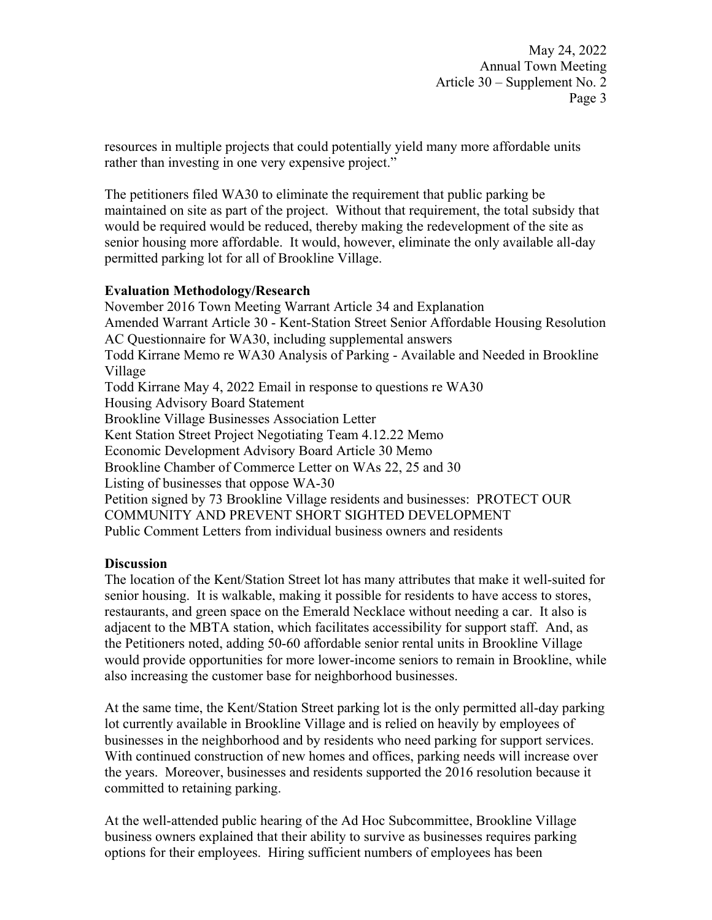resources in multiple projects that could potentially yield many more affordable units rather than investing in one very expensive project."

The petitioners filed WA30 to eliminate the requirement that public parking be maintained on site as part of the project. Without that requirement, the total subsidy that would be required would be reduced, thereby making the redevelopment of the site as senior housing more affordable. It would, however, eliminate the only available all-day permitted parking lot for all of Brookline Village.

## **Evaluation Methodology/Research**

November 2016 Town Meeting Warrant Article 34 and Explanation Amended Warrant Article 30 - Kent-Station Street Senior Affordable Housing Resolution AC Questionnaire for WA30, including supplemental answers Todd Kirrane Memo re WA30 Analysis of Parking - Available and Needed in Brookline Village Todd Kirrane May 4, 2022 Email in response to questions re WA30 Housing Advisory Board Statement Brookline Village Businesses Association Letter Kent Station Street Project Negotiating Team 4.12.22 Memo Economic Development Advisory Board Article 30 Memo Brookline Chamber of Commerce Letter on WAs 22, 25 and 30 Listing of businesses that oppose WA-30 Petition signed by 73 Brookline Village residents and businesses: PROTECT OUR COMMUNITY AND PREVENT SHORT SIGHTED DEVELOPMENT Public Comment Letters from individual business owners and residents

### **Discussion**

The location of the Kent/Station Street lot has many attributes that make it well-suited for senior housing. It is walkable, making it possible for residents to have access to stores, restaurants, and green space on the Emerald Necklace without needing a car. It also is adjacent to the MBTA station, which facilitates accessibility for support staff. And, as the Petitioners noted, adding 50-60 affordable senior rental units in Brookline Village would provide opportunities for more lower-income seniors to remain in Brookline, while also increasing the customer base for neighborhood businesses.

At the same time, the Kent/Station Street parking lot is the only permitted all-day parking lot currently available in Brookline Village and is relied on heavily by employees of businesses in the neighborhood and by residents who need parking for support services. With continued construction of new homes and offices, parking needs will increase over the years. Moreover, businesses and residents supported the 2016 resolution because it committed to retaining parking.

At the well-attended public hearing of the Ad Hoc Subcommittee, Brookline Village business owners explained that their ability to survive as businesses requires parking options for their employees. Hiring sufficient numbers of employees has been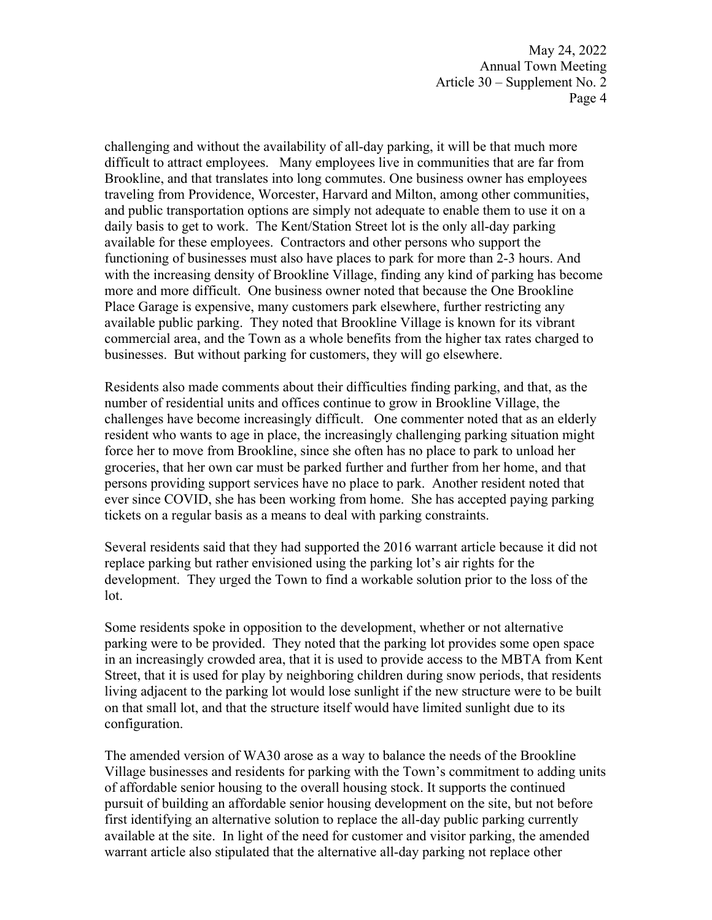challenging and without the availability of all-day parking, it will be that much more difficult to attract employees. Many employees live in communities that are far from Brookline, and that translates into long commutes. One business owner has employees traveling from Providence, Worcester, Harvard and Milton, among other communities, and public transportation options are simply not adequate to enable them to use it on a daily basis to get to work. The Kent/Station Street lot is the only all-day parking available for these employees. Contractors and other persons who support the functioning of businesses must also have places to park for more than 2-3 hours. And with the increasing density of Brookline Village, finding any kind of parking has become more and more difficult. One business owner noted that because the One Brookline Place Garage is expensive, many customers park elsewhere, further restricting any available public parking. They noted that Brookline Village is known for its vibrant commercial area, and the Town as a whole benefits from the higher tax rates charged to businesses. But without parking for customers, they will go elsewhere.

Residents also made comments about their difficulties finding parking, and that, as the number of residential units and offices continue to grow in Brookline Village, the challenges have become increasingly difficult. One commenter noted that as an elderly resident who wants to age in place, the increasingly challenging parking situation might force her to move from Brookline, since she often has no place to park to unload her groceries, that her own car must be parked further and further from her home, and that persons providing support services have no place to park. Another resident noted that ever since COVID, she has been working from home. She has accepted paying parking tickets on a regular basis as a means to deal with parking constraints.

Several residents said that they had supported the 2016 warrant article because it did not replace parking but rather envisioned using the parking lot's air rights for the development. They urged the Town to find a workable solution prior to the loss of the lot.

Some residents spoke in opposition to the development, whether or not alternative parking were to be provided. They noted that the parking lot provides some open space in an increasingly crowded area, that it is used to provide access to the MBTA from Kent Street, that it is used for play by neighboring children during snow periods, that residents living adjacent to the parking lot would lose sunlight if the new structure were to be built on that small lot, and that the structure itself would have limited sunlight due to its configuration.

The amended version of WA30 arose as a way to balance the needs of the Brookline Village businesses and residents for parking with the Town's commitment to adding units of affordable senior housing to the overall housing stock. It supports the continued pursuit of building an affordable senior housing development on the site, but not before first identifying an alternative solution to replace the all-day public parking currently available at the site. In light of the need for customer and visitor parking, the amended warrant article also stipulated that the alternative all-day parking not replace other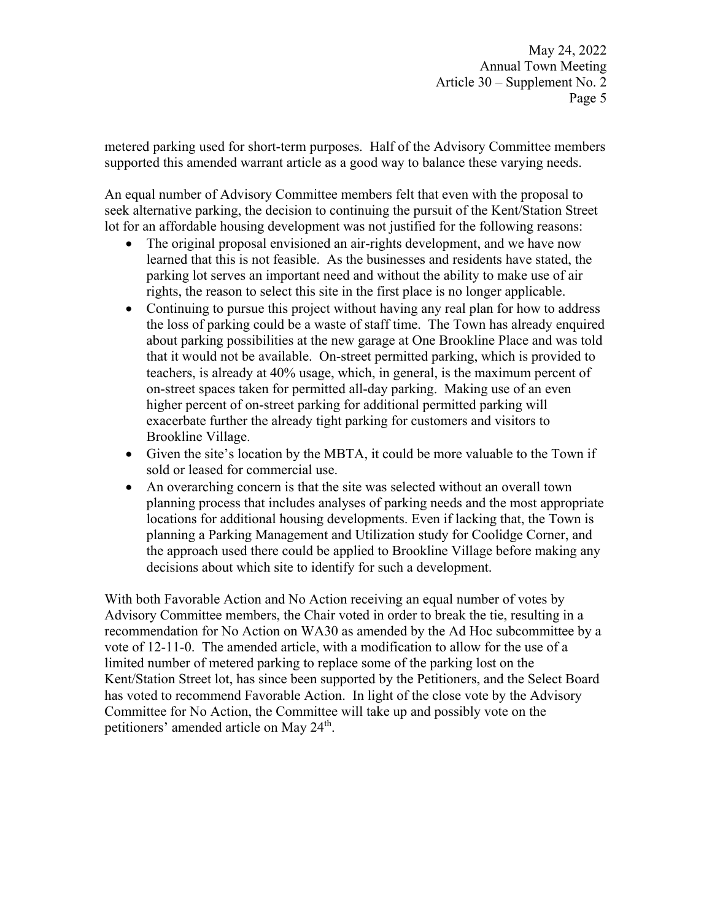metered parking used for short-term purposes. Half of the Advisory Committee members supported this amended warrant article as a good way to balance these varying needs.

An equal number of Advisory Committee members felt that even with the proposal to seek alternative parking, the decision to continuing the pursuit of the Kent/Station Street lot for an affordable housing development was not justified for the following reasons:

- The original proposal envisioned an air-rights development, and we have now learned that this is not feasible. As the businesses and residents have stated, the parking lot serves an important need and without the ability to make use of air rights, the reason to select this site in the first place is no longer applicable.
- Continuing to pursue this project without having any real plan for how to address the loss of parking could be a waste of staff time. The Town has already enquired about parking possibilities at the new garage at One Brookline Place and was told that it would not be available. On-street permitted parking, which is provided to teachers, is already at 40% usage, which, in general, is the maximum percent of on-street spaces taken for permitted all-day parking. Making use of an even higher percent of on-street parking for additional permitted parking will exacerbate further the already tight parking for customers and visitors to Brookline Village.
- Given the site's location by the MBTA, it could be more valuable to the Town if sold or leased for commercial use.
- An overarching concern is that the site was selected without an overall town planning process that includes analyses of parking needs and the most appropriate locations for additional housing developments. Even if lacking that, the Town is planning a Parking Management and Utilization study for Coolidge Corner, and the approach used there could be applied to Brookline Village before making any decisions about which site to identify for such a development.

With both Favorable Action and No Action receiving an equal number of votes by Advisory Committee members, the Chair voted in order to break the tie, resulting in a recommendation for No Action on WA30 as amended by the Ad Hoc subcommittee by a vote of 12-11-0. The amended article, with a modification to allow for the use of a limited number of metered parking to replace some of the parking lost on the Kent/Station Street lot, has since been supported by the Petitioners, and the Select Board has voted to recommend Favorable Action. In light of the close vote by the Advisory Committee for No Action, the Committee will take up and possibly vote on the petitioners' amended article on May 24<sup>th</sup>.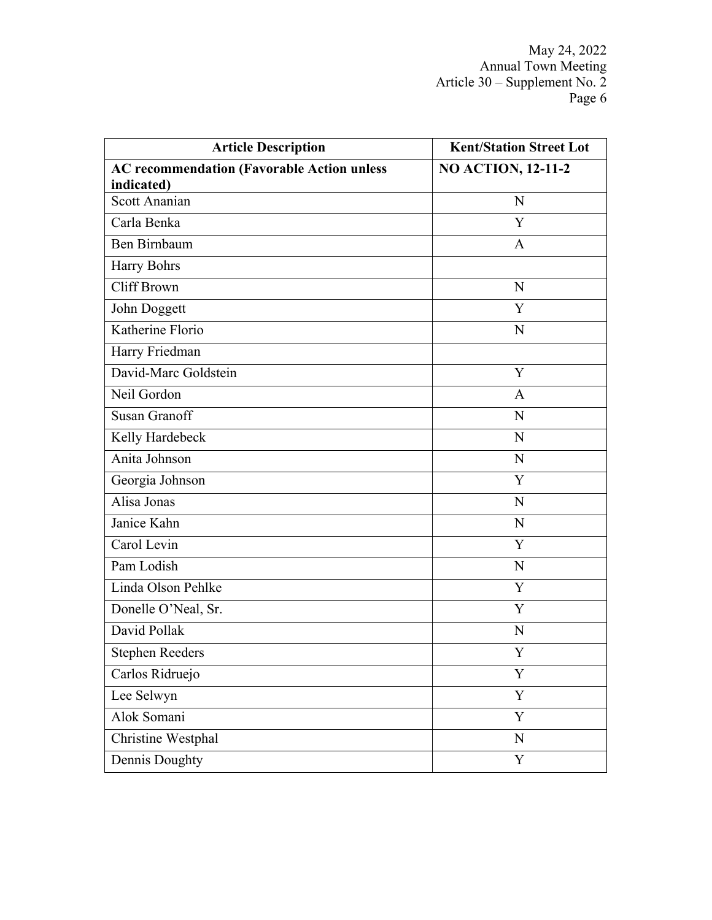| <b>Article Description</b>                        | <b>Kent/Station Street Lot</b> |
|---------------------------------------------------|--------------------------------|
| <b>AC recommendation (Favorable Action unless</b> | <b>NO ACTION, 12-11-2</b>      |
| indicated)<br><b>Scott Ananian</b>                | N                              |
|                                                   | Y                              |
| Carla Benka                                       |                                |
| Ben Birnbaum                                      | A                              |
| Harry Bohrs                                       |                                |
| Cliff Brown                                       | N                              |
| John Doggett                                      | Y                              |
| Katherine Florio                                  | $\mathbf N$                    |
| Harry Friedman                                    |                                |
| David-Marc Goldstein                              | Y                              |
| Neil Gordon                                       | A                              |
| <b>Susan Granoff</b>                              | N                              |
| Kelly Hardebeck                                   | $\mathbf N$                    |
| Anita Johnson                                     | N                              |
| Georgia Johnson                                   | Y                              |
| Alisa Jonas                                       | N                              |
| Janice Kahn                                       | N                              |
| Carol Levin                                       | Y                              |
| Pam Lodish                                        | $\mathbf N$                    |
| Linda Olson Pehlke                                | Y                              |
| Donelle O'Neal, Sr.                               | Y                              |
| David Pollak                                      | N                              |
| <b>Stephen Reeders</b>                            | Y                              |
| Carlos Ridruejo                                   | Y                              |
| Lee Selwyn                                        | Y                              |
| Alok Somani                                       | Y                              |
| Christine Westphal                                | ${\bf N}$                      |
| Dennis Doughty                                    | Y                              |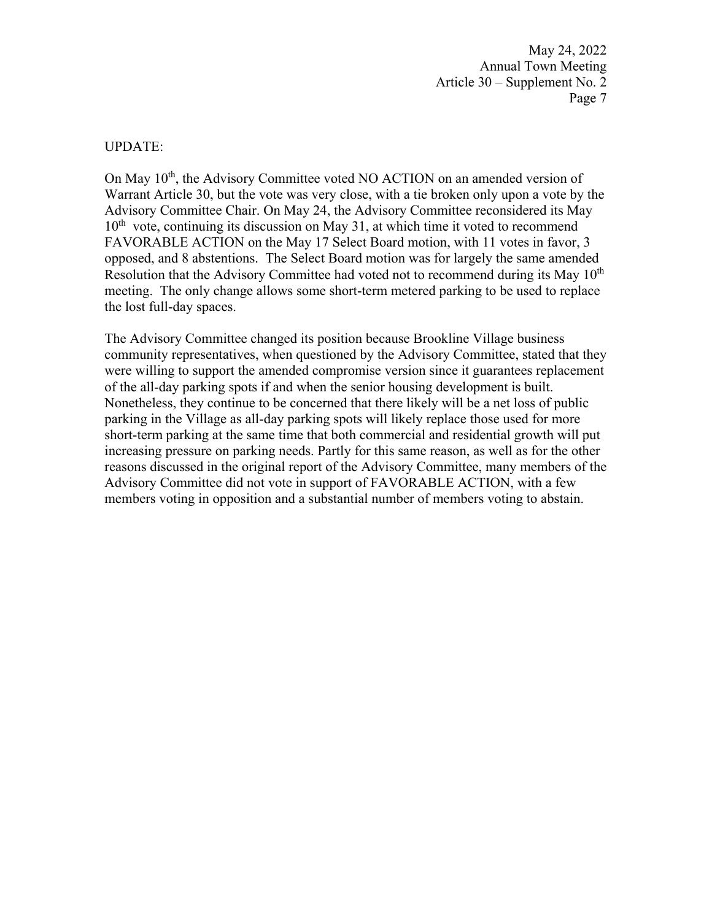#### UPDATE:

On May 10<sup>th</sup>, the Advisory Committee voted NO ACTION on an amended version of Warrant Article 30, but the vote was very close, with a tie broken only upon a vote by the Advisory Committee Chair. On May 24, the Advisory Committee reconsidered its May  $10<sup>th</sup>$  vote, continuing its discussion on May 31, at which time it voted to recommend FAVORABLE ACTION on the May 17 Select Board motion, with 11 votes in favor, 3 opposed, and 8 abstentions. The Select Board motion was for largely the same amended Resolution that the Advisory Committee had voted not to recommend during its May  $10<sup>th</sup>$ meeting. The only change allows some short-term metered parking to be used to replace the lost full-day spaces.

The Advisory Committee changed its position because Brookline Village business community representatives, when questioned by the Advisory Committee, stated that they were willing to support the amended compromise version since it guarantees replacement of the all-day parking spots if and when the senior housing development is built. Nonetheless, they continue to be concerned that there likely will be a net loss of public parking in the Village as all-day parking spots will likely replace those used for more short-term parking at the same time that both commercial and residential growth will put increasing pressure on parking needs. Partly for this same reason, as well as for the other reasons discussed in the original report of the Advisory Committee, many members of the Advisory Committee did not vote in support of FAVORABLE ACTION, with a few members voting in opposition and a substantial number of members voting to abstain.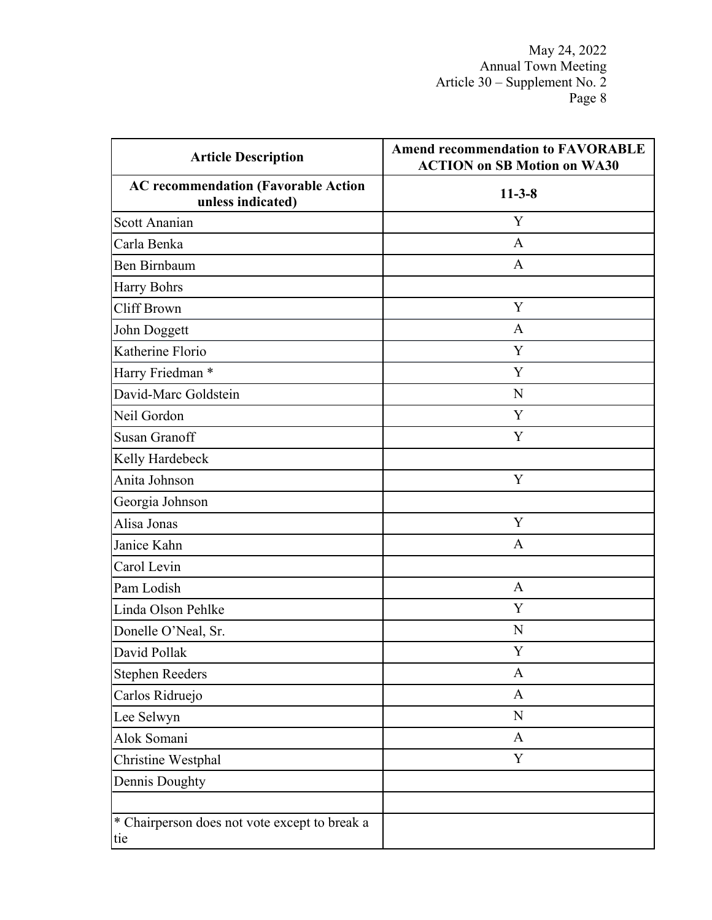| <b>Article Description</b>                                      | <b>Amend recommendation to FAVORABLE</b><br><b>ACTION on SB Motion on WA30</b> |  |
|-----------------------------------------------------------------|--------------------------------------------------------------------------------|--|
| <b>AC recommendation (Favorable Action</b><br>unless indicated) | $11-3-8$                                                                       |  |
| Scott Ananian                                                   | Y                                                                              |  |
| Carla Benka                                                     | A                                                                              |  |
| Ben Birnbaum                                                    | $\mathbf{A}$                                                                   |  |
| <b>Harry Bohrs</b>                                              |                                                                                |  |
| <b>Cliff Brown</b>                                              | Y                                                                              |  |
| John Doggett                                                    | A                                                                              |  |
| Katherine Florio                                                | Y                                                                              |  |
| Harry Friedman *                                                | Y                                                                              |  |
| David-Marc Goldstein                                            | N                                                                              |  |
| Neil Gordon                                                     | Y                                                                              |  |
| <b>Susan Granoff</b>                                            | Y                                                                              |  |
| Kelly Hardebeck                                                 |                                                                                |  |
| Anita Johnson                                                   | Y                                                                              |  |
| Georgia Johnson                                                 |                                                                                |  |
| Alisa Jonas                                                     | Y                                                                              |  |
| Janice Kahn                                                     | A                                                                              |  |
| Carol Levin                                                     |                                                                                |  |
| Pam Lodish                                                      | $\mathbf{A}$                                                                   |  |
| Linda Olson Pehlke                                              | Y                                                                              |  |
| Donelle O'Neal, Sr.                                             | N                                                                              |  |
| David Pollak                                                    | Y                                                                              |  |
| <b>Stephen Reeders</b>                                          | A                                                                              |  |
| Carlos Ridruejo                                                 | A                                                                              |  |
| Lee Selwyn                                                      | $\mathbf N$                                                                    |  |
| Alok Somani                                                     | $\mathbf{A}$                                                                   |  |
| Christine Westphal                                              | Y                                                                              |  |
| Dennis Doughty                                                  |                                                                                |  |
|                                                                 |                                                                                |  |
| * Chairperson does not vote except to break a<br>tie            |                                                                                |  |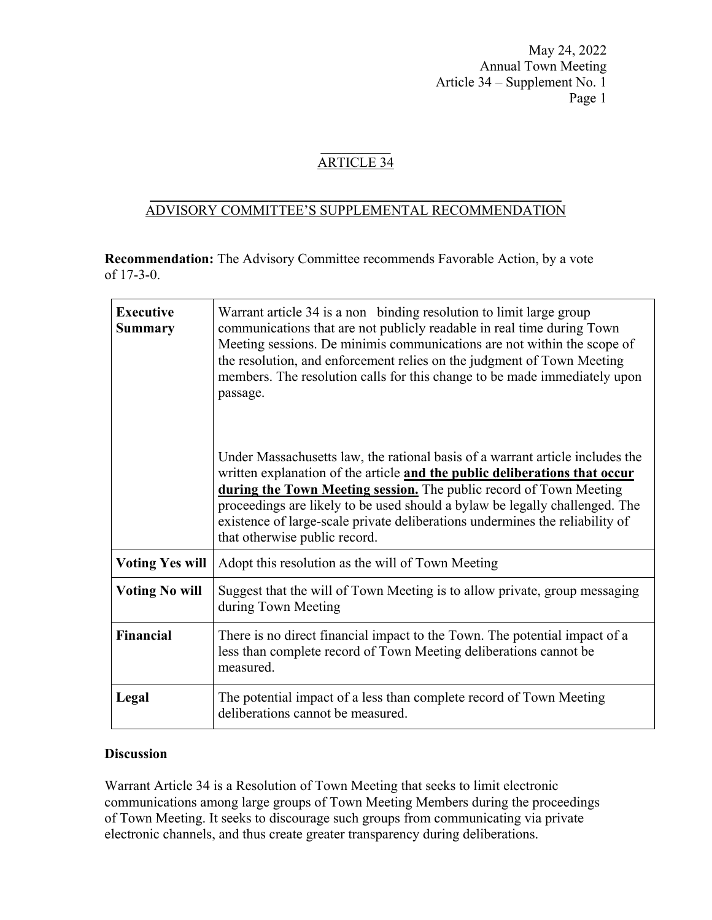# ARTICLE 34

### $\frac{1}{2}$  ,  $\frac{1}{2}$  ,  $\frac{1}{2}$  ,  $\frac{1}{2}$  ,  $\frac{1}{2}$  ,  $\frac{1}{2}$  ,  $\frac{1}{2}$  ,  $\frac{1}{2}$  ,  $\frac{1}{2}$  ,  $\frac{1}{2}$  ,  $\frac{1}{2}$  ,  $\frac{1}{2}$  ,  $\frac{1}{2}$  ,  $\frac{1}{2}$  ,  $\frac{1}{2}$  ,  $\frac{1}{2}$  ,  $\frac{1}{2}$  ,  $\frac{1}{2}$  ,  $\frac{1$ ADVISORY COMMITTEE'S SUPPLEMENTAL RECOMMENDATION

**Recommendation:** The Advisory Committee recommends Favorable Action, by a vote of 17-3-0.

| <b>Executive</b><br><b>Summary</b> | Warrant article 34 is a non binding resolution to limit large group<br>communications that are not publicly readable in real time during Town<br>Meeting sessions. De minimis communications are not within the scope of<br>the resolution, and enforcement relies on the judgment of Town Meeting<br>members. The resolution calls for this change to be made immediately upon<br>passage.                                       |
|------------------------------------|-----------------------------------------------------------------------------------------------------------------------------------------------------------------------------------------------------------------------------------------------------------------------------------------------------------------------------------------------------------------------------------------------------------------------------------|
|                                    | Under Massachusetts law, the rational basis of a warrant article includes the<br>written explanation of the article and the public deliberations that occur<br>during the Town Meeting session. The public record of Town Meeting<br>proceedings are likely to be used should a bylaw be legally challenged. The<br>existence of large-scale private deliberations undermines the reliability of<br>that otherwise public record. |
| <b>Voting Yes will</b>             | Adopt this resolution as the will of Town Meeting                                                                                                                                                                                                                                                                                                                                                                                 |
| <b>Voting No will</b>              | Suggest that the will of Town Meeting is to allow private, group messaging<br>during Town Meeting                                                                                                                                                                                                                                                                                                                                 |
| <b>Financial</b>                   | There is no direct financial impact to the Town. The potential impact of a<br>less than complete record of Town Meeting deliberations cannot be<br>measured.                                                                                                                                                                                                                                                                      |
| Legal                              | The potential impact of a less than complete record of Town Meeting<br>deliberations cannot be measured.                                                                                                                                                                                                                                                                                                                          |

## **Discussion**

Warrant Article 34 is a Resolution of Town Meeting that seeks to limit electronic communications among large groups of Town Meeting Members during the proceedings of Town Meeting. It seeks to discourage such groups from communicating via private electronic channels, and thus create greater transparency during deliberations.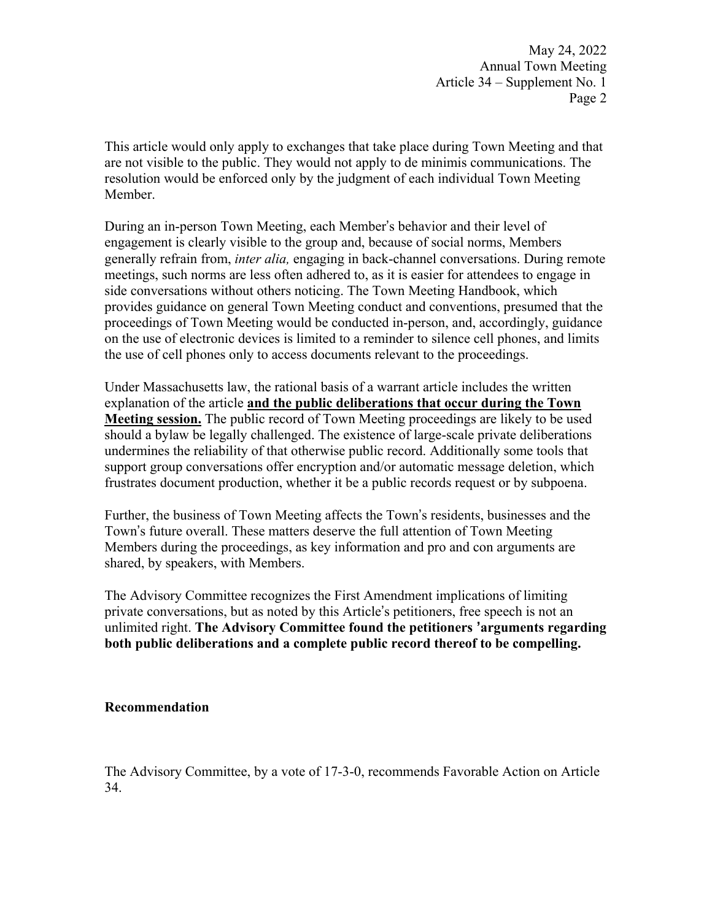This article would only apply to exchanges that take place during Town Meeting and that are not visible to the public. They would not apply to de minimis communications. The resolution would be enforced only by the judgment of each individual Town Meeting Member.

During an in-person Town Meeting, each Member's behavior and their level of engagement is clearly visible to the group and, because of social norms, Members generally refrain from, *inter alia,* engaging in back-channel conversations. During remote meetings, such norms are less often adhered to, as it is easier for attendees to engage in side conversations without others noticing. The Town Meeting Handbook, which provides guidance on general Town Meeting conduct and conventions, presumed that the proceedings of Town Meeting would be conducted in-person, and, accordingly, guidance on the use of electronic devices is limited to a reminder to silence cell phones, and limits the use of cell phones only to access documents relevant to the proceedings.

Under Massachusetts law, the rational basis of a warrant article includes the written explanation of the article **and the public deliberations that occur during the Town Meeting session.** The public record of Town Meeting proceedings are likely to be used should a bylaw be legally challenged. The existence of large-scale private deliberations undermines the reliability of that otherwise public record. Additionally some tools that support group conversations offer encryption and/or automatic message deletion, which frustrates document production, whether it be a public records request or by subpoena.

Further, the business of Town Meeting affects the Town's residents, businesses and the Town's future overall. These matters deserve the full attention of Town Meeting Members during the proceedings, as key information and pro and con arguments are shared, by speakers, with Members.

The Advisory Committee recognizes the First Amendment implications of limiting private conversations, but as noted by this Article's petitioners, free speech is not an unlimited right. **The Advisory Committee found the petitioners 'arguments regarding both public deliberations and a complete public record thereof to be compelling.** 

#### **Recommendation**

The Advisory Committee, by a vote of 17-3-0, recommends Favorable Action on Article 34.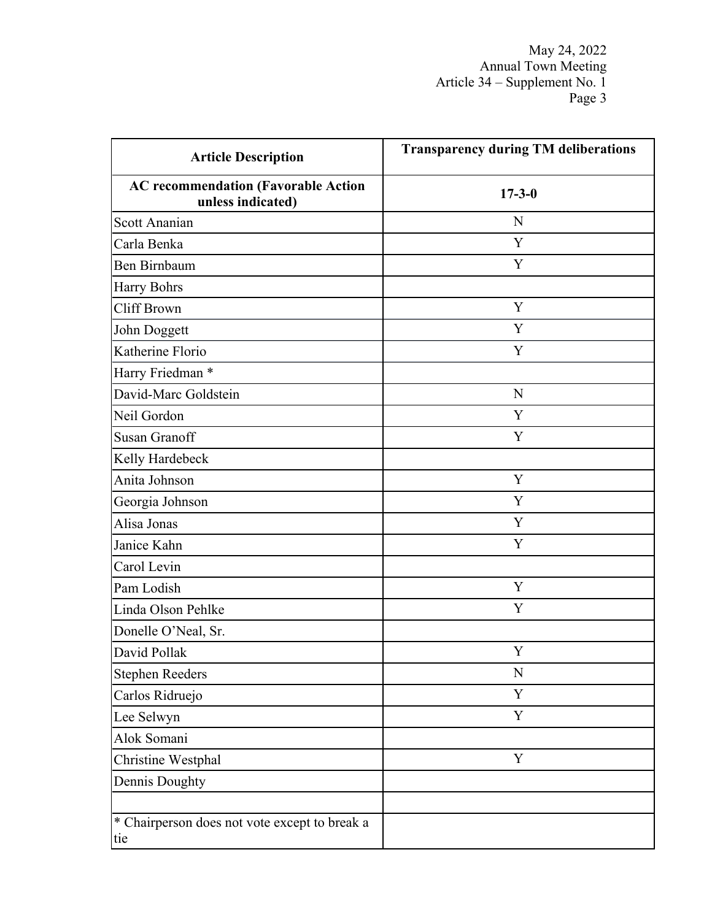| <b>Article Description</b>                                      | <b>Transparency during TM deliberations</b> |
|-----------------------------------------------------------------|---------------------------------------------|
| <b>AC recommendation (Favorable Action</b><br>unless indicated) | $17 - 3 - 0$                                |
| Scott Ananian                                                   | N                                           |
| Carla Benka                                                     | Y                                           |
| <b>Ben Birnbaum</b>                                             | Y                                           |
| Harry Bohrs                                                     |                                             |
| Cliff Brown                                                     | Y                                           |
| John Doggett                                                    | Y                                           |
| Katherine Florio                                                | Y                                           |
| Harry Friedman *                                                |                                             |
| David-Marc Goldstein                                            | N                                           |
| Neil Gordon                                                     | Y                                           |
| <b>Susan Granoff</b>                                            | Y                                           |
| Kelly Hardebeck                                                 |                                             |
| Anita Johnson                                                   | Y                                           |
| Georgia Johnson                                                 | Y                                           |
| Alisa Jonas                                                     | Y                                           |
| Janice Kahn                                                     | Y                                           |
| Carol Levin                                                     |                                             |
| Pam Lodish                                                      | Y                                           |
| Linda Olson Pehlke                                              | $\mathbf Y$                                 |
| Donelle O'Neal, Sr.                                             |                                             |
| David Pollak                                                    | Y                                           |
| <b>Stephen Reeders</b>                                          | N                                           |
| Carlos Ridruejo                                                 | Y                                           |
| Lee Selwyn                                                      | Y                                           |
| Alok Somani                                                     |                                             |
| Christine Westphal                                              | $\mathbf Y$                                 |
| Dennis Doughty                                                  |                                             |
|                                                                 |                                             |
| * Chairperson does not vote except to break a<br>tie            |                                             |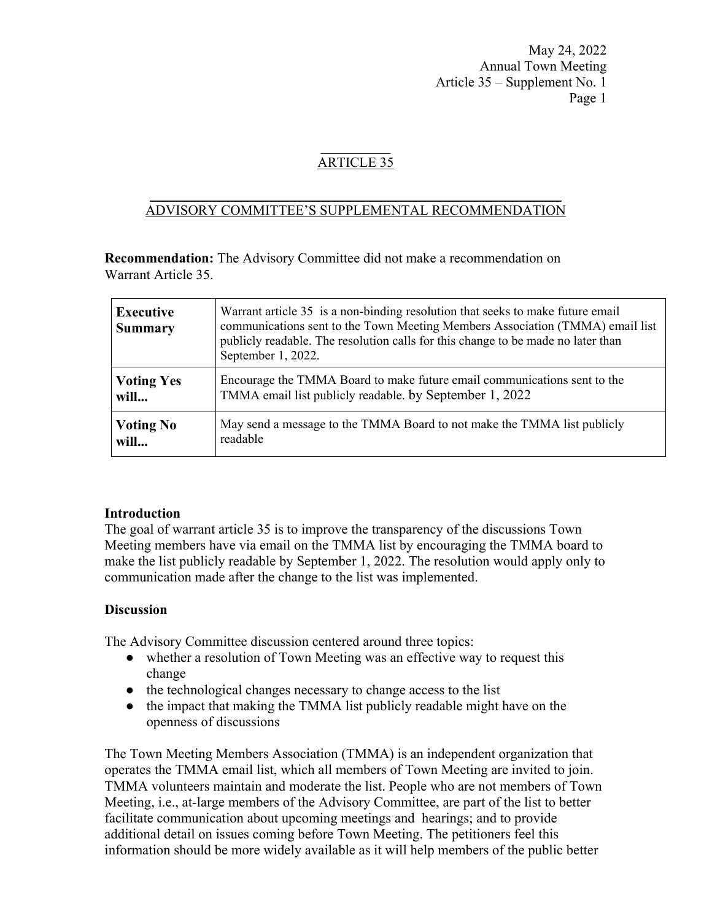# ARTICLE 35

#### $\frac{1}{2}$  ,  $\frac{1}{2}$  ,  $\frac{1}{2}$  ,  $\frac{1}{2}$  ,  $\frac{1}{2}$  ,  $\frac{1}{2}$  ,  $\frac{1}{2}$  ,  $\frac{1}{2}$  ,  $\frac{1}{2}$  ,  $\frac{1}{2}$  ,  $\frac{1}{2}$  ,  $\frac{1}{2}$  ,  $\frac{1}{2}$  ,  $\frac{1}{2}$  ,  $\frac{1}{2}$  ,  $\frac{1}{2}$  ,  $\frac{1}{2}$  ,  $\frac{1}{2}$  ,  $\frac{1$ ADVISORY COMMITTEE'S SUPPLEMENTAL RECOMMENDATION

**Recommendation:** The Advisory Committee did not make a recommendation on Warrant Article 35.

| <b>Executive</b><br><b>Summary</b> | Warrant article 35 is a non-binding resolution that seeks to make future email<br>communications sent to the Town Meeting Members Association (TMMA) email list<br>publicly readable. The resolution calls for this change to be made no later than<br>September 1, 2022. |
|------------------------------------|---------------------------------------------------------------------------------------------------------------------------------------------------------------------------------------------------------------------------------------------------------------------------|
| <b>Voting Yes</b>                  | Encourage the TMMA Board to make future email communications sent to the                                                                                                                                                                                                  |
| will                               | TMMA email list publicly readable. by September 1, 2022                                                                                                                                                                                                                   |
| <b>Voting No</b>                   | May send a message to the TMMA Board to not make the TMMA list publicly                                                                                                                                                                                                   |
| will                               | readable                                                                                                                                                                                                                                                                  |

### **Introduction**

The goal of warrant article 35 is to improve the transparency of the discussions Town Meeting members have via email on the TMMA list by encouraging the TMMA board to make the list publicly readable by September 1, 2022. The resolution would apply only to communication made after the change to the list was implemented.

### **Discussion**

The Advisory Committee discussion centered around three topics:

- whether a resolution of Town Meeting was an effective way to request this change
- the technological changes necessary to change access to the list
- the impact that making the TMMA list publicly readable might have on the openness of discussions

The Town Meeting Members Association (TMMA) is an independent organization that operates the TMMA email list, which all members of Town Meeting are invited to join. TMMA volunteers maintain and moderate the list. People who are not members of Town Meeting, i.e., at-large members of the Advisory Committee, are part of the list to better facilitate communication about upcoming meetings and hearings; and to provide additional detail on issues coming before Town Meeting. The petitioners feel this information should be more widely available as it will help members of the public better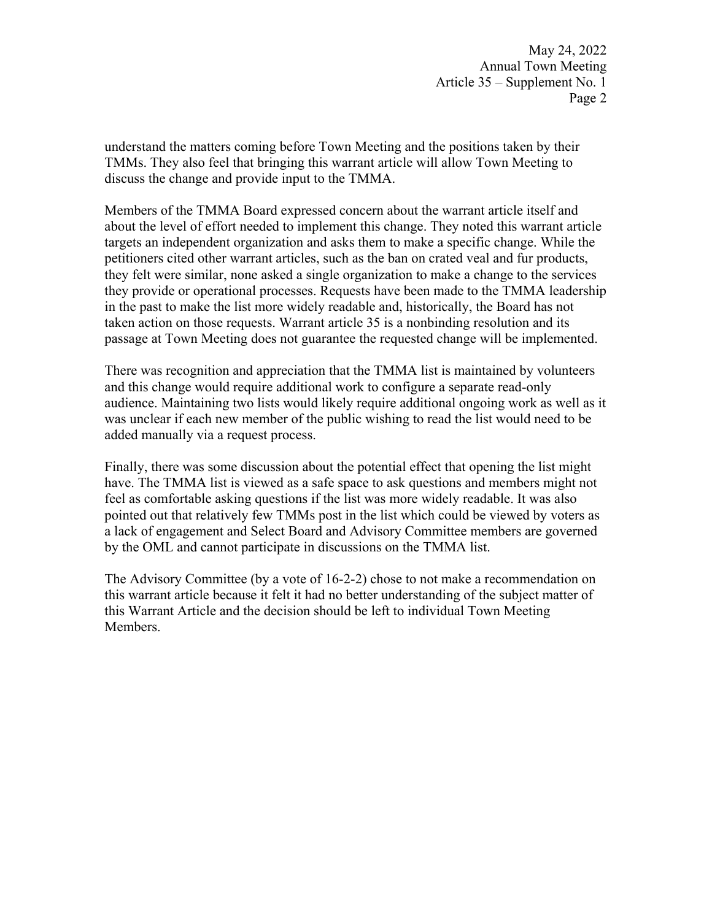understand the matters coming before Town Meeting and the positions taken by their TMMs. They also feel that bringing this warrant article will allow Town Meeting to discuss the change and provide input to the TMMA.

Members of the TMMA Board expressed concern about the warrant article itself and about the level of effort needed to implement this change. They noted this warrant article targets an independent organization and asks them to make a specific change. While the petitioners cited other warrant articles, such as the ban on crated veal and fur products, they felt were similar, none asked a single organization to make a change to the services they provide or operational processes. Requests have been made to the TMMA leadership in the past to make the list more widely readable and, historically, the Board has not taken action on those requests. Warrant article 35 is a nonbinding resolution and its passage at Town Meeting does not guarantee the requested change will be implemented.

There was recognition and appreciation that the TMMA list is maintained by volunteers and this change would require additional work to configure a separate read-only audience. Maintaining two lists would likely require additional ongoing work as well as it was unclear if each new member of the public wishing to read the list would need to be added manually via a request process.

Finally, there was some discussion about the potential effect that opening the list might have. The TMMA list is viewed as a safe space to ask questions and members might not feel as comfortable asking questions if the list was more widely readable. It was also pointed out that relatively few TMMs post in the list which could be viewed by voters as a lack of engagement and Select Board and Advisory Committee members are governed by the OML and cannot participate in discussions on the TMMA list.

The Advisory Committee (by a vote of 16-2-2) chose to not make a recommendation on this warrant article because it felt it had no better understanding of the subject matter of this Warrant Article and the decision should be left to individual Town Meeting Members.